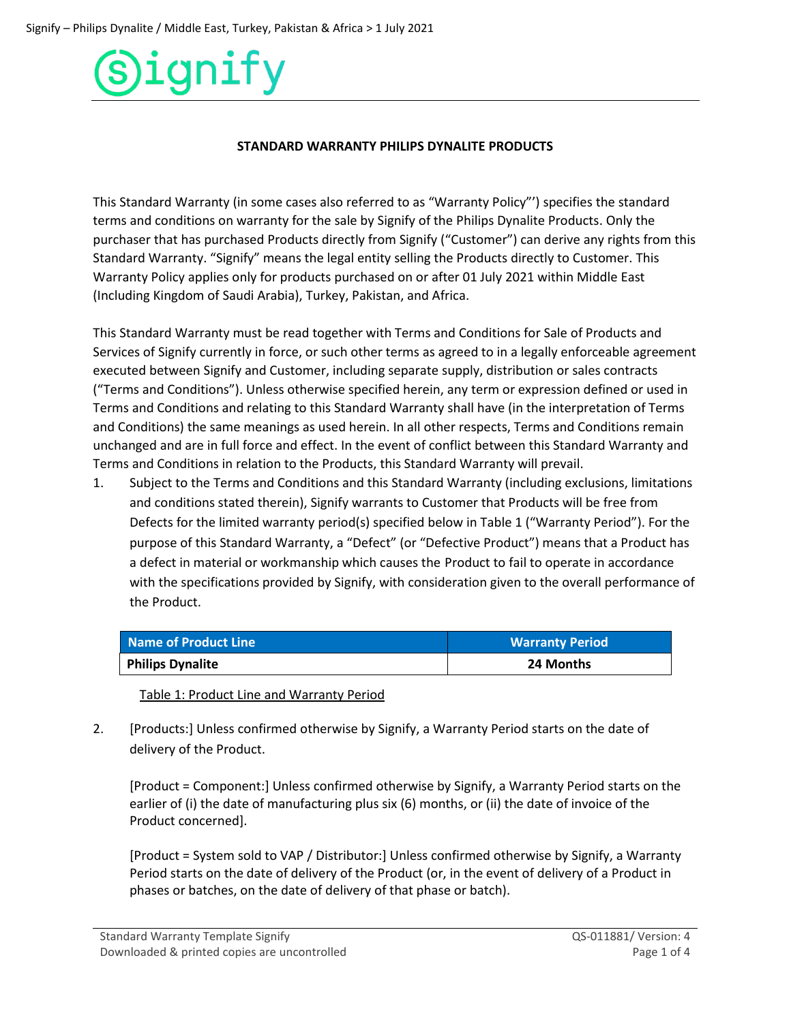#### **STANDARD WARRANTY PHILIPS DYNALITE PRODUCTS**

This Standard Warranty (in some cases also referred to as "Warranty Policy"') specifies the standard terms and conditions on warranty for the sale by Signify of the Philips Dynalite Products. Only the purchaser that has purchased Products directly from Signify ("Customer") can derive any rights from this Standard Warranty. "Signify" means the legal entity selling the Products directly to Customer. This Warranty Policy applies only for products purchased on or after 01 July 2021 within Middle East (Including Kingdom of Saudi Arabia), Turkey, Pakistan, and Africa.

This Standard Warranty must be read together with Terms and Conditions for Sale of Products and Services of Signify currently in force, or such other terms as agreed to in a legally enforceable agreement executed between Signify and Customer, including separate supply, distribution or sales contracts ("Terms and Conditions"). Unless otherwise specified herein, any term or expression defined or used in Terms and Conditions and relating to this Standard Warranty shall have (in the interpretation of Terms and Conditions) the same meanings as used herein. In all other respects, Terms and Conditions remain unchanged and are in full force and effect. In the event of conflict between this Standard Warranty and Terms and Conditions in relation to the Products, this Standard Warranty will prevail.

1. Subject to the Terms and Conditions and this Standard Warranty (including exclusions, limitations and conditions stated therein), Signify warrants to Customer that Products will be free from Defects for the limited warranty period(s) specified below in Table 1 ("Warranty Period"). For the purpose of this Standard Warranty, a "Defect" (or "Defective Product") means that a Product has a defect in material or workmanship which causes the Product to fail to operate in accordance with the specifications provided by Signify, with consideration given to the overall performance of the Product.

| Name of Product Line    | <b>Warranty Period</b> |
|-------------------------|------------------------|
| <b>Philips Dynalite</b> | 24 Months              |

Table 1: Product Line and Warranty Period

2. [Products:] Unless confirmed otherwise by Signify, a Warranty Period starts on the date of delivery of the Product.

[Product = Component:] Unless confirmed otherwise by Signify, a Warranty Period starts on the earlier of (i) the date of manufacturing plus six (6) months, or (ii) the date of invoice of the Product concerned].

[Product = System sold to VAP / Distributor:] Unless confirmed otherwise by Signify, a Warranty Period starts on the date of delivery of the Product (or, in the event of delivery of a Product in phases or batches, on the date of delivery of that phase or batch).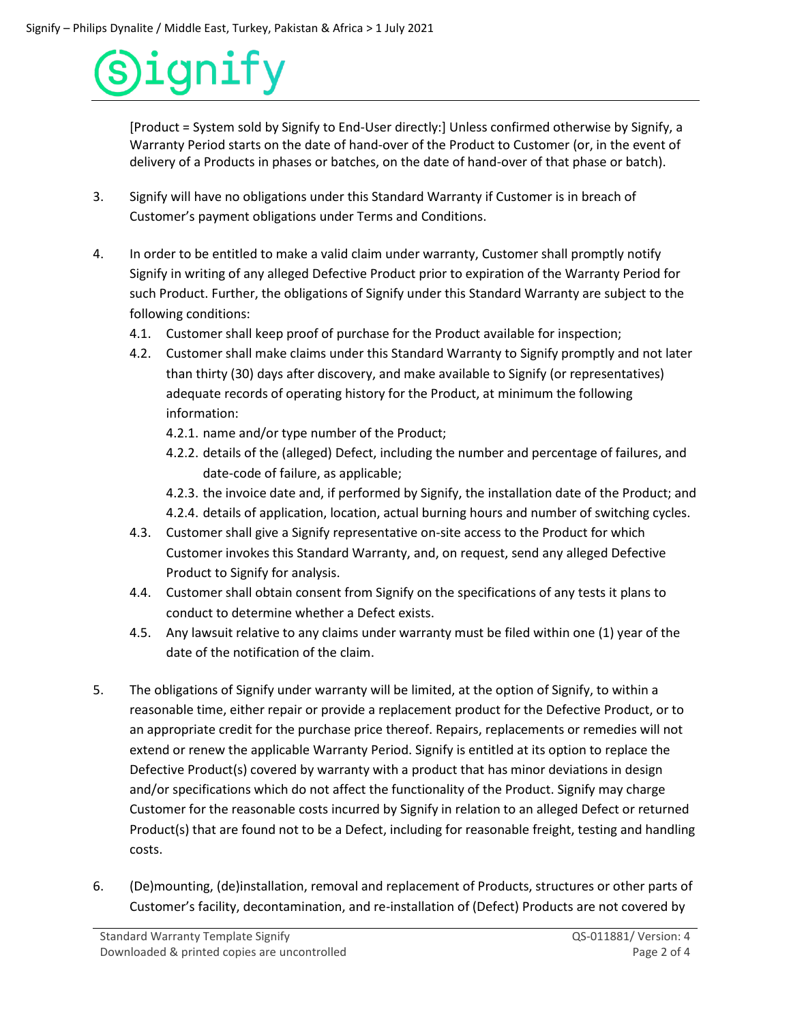[Product = System sold by Signify to End-User directly:] Unless confirmed otherwise by Signify, a Warranty Period starts on the date of hand-over of the Product to Customer (or, in the event of delivery of a Products in phases or batches, on the date of hand-over of that phase or batch).

- 3. Signify will have no obligations under this Standard Warranty if Customer is in breach of Customer's payment obligations under Terms and Conditions.
- 4. In order to be entitled to make a valid claim under warranty, Customer shall promptly notify Signify in writing of any alleged Defective Product prior to expiration of the Warranty Period for such Product. Further, the obligations of Signify under this Standard Warranty are subject to the following conditions:
	- 4.1. Customer shall keep proof of purchase for the Product available for inspection;
	- 4.2. Customer shall make claims under this Standard Warranty to Signify promptly and not later than thirty (30) days after discovery, and make available to Signify (or representatives) adequate records of operating history for the Product, at minimum the following information:
		- 4.2.1. name and/or type number of the Product;
		- 4.2.2. details of the (alleged) Defect, including the number and percentage of failures, and date-code of failure, as applicable;
		- 4.2.3. the invoice date and, if performed by Signify, the installation date of the Product; and 4.2.4. details of application, location, actual burning hours and number of switching cycles.
	- 4.3. Customer shall give a Signify representative on-site access to the Product for which Customer invokes this Standard Warranty, and, on request, send any alleged Defective Product to Signify for analysis.
	- 4.4. Customer shall obtain consent from Signify on the specifications of any tests it plans to conduct to determine whether a Defect exists.
	- 4.5. Any lawsuit relative to any claims under warranty must be filed within one (1) year of the date of the notification of the claim.
- 5. The obligations of Signify under warranty will be limited, at the option of Signify, to within a reasonable time, either repair or provide a replacement product for the Defective Product, or to an appropriate credit for the purchase price thereof. Repairs, replacements or remedies will not extend or renew the applicable Warranty Period. Signify is entitled at its option to replace the Defective Product(s) covered by warranty with a product that has minor deviations in design and/or specifications which do not affect the functionality of the Product. Signify may charge Customer for the reasonable costs incurred by Signify in relation to an alleged Defect or returned Product(s) that are found not to be a Defect, including for reasonable freight, testing and handling costs.
- 6. (De)mounting, (de)installation, removal and replacement of Products, structures or other parts of Customer's facility, decontamination, and re-installation of (Defect) Products are not covered by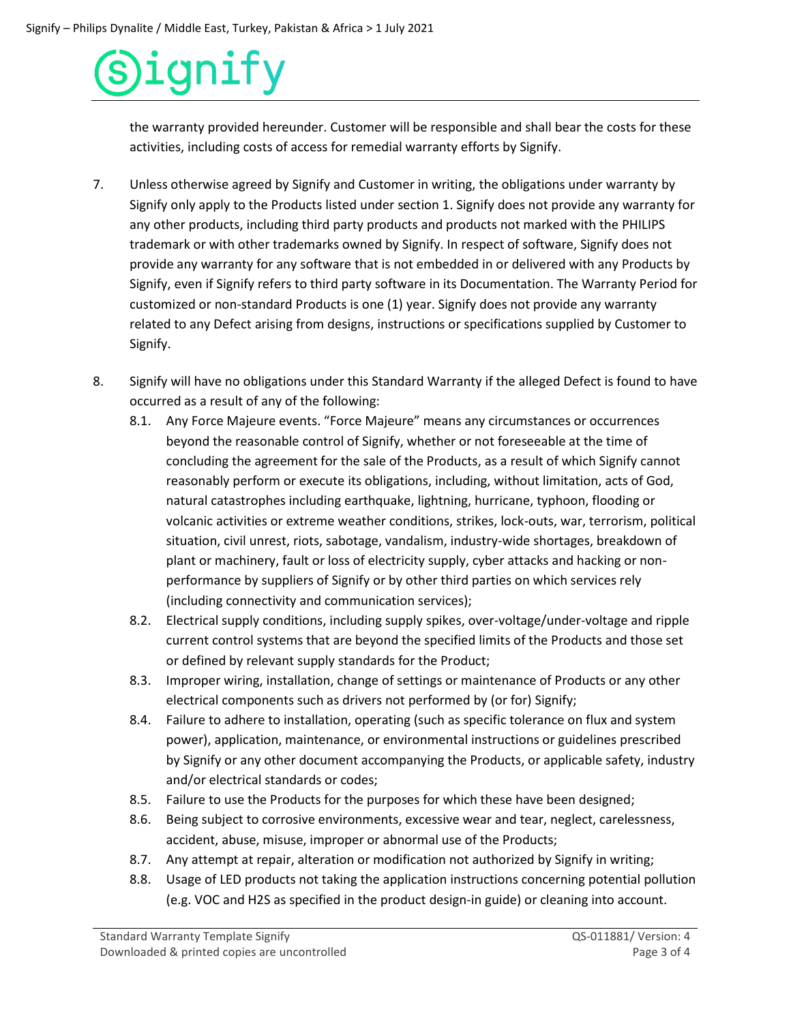the warranty provided hereunder. Customer will be responsible and shall bear the costs for these activities, including costs of access for remedial warranty efforts by Signify.

- 7. Unless otherwise agreed by Signify and Customer in writing, the obligations under warranty by Signify only apply to the Products listed under section 1. Signify does not provide any warranty for any other products, including third party products and products not marked with the PHILIPS trademark or with other trademarks owned by Signify. In respect of software, Signify does not provide any warranty for any software that is not embedded in or delivered with any Products by Signify, even if Signify refers to third party software in its Documentation. The Warranty Period for customized or non-standard Products is one (1) year. Signify does not provide any warranty related to any Defect arising from designs, instructions or specifications supplied by Customer to Signify.
- 8. Signify will have no obligations under this Standard Warranty if the alleged Defect is found to have occurred as a result of any of the following:
	- 8.1. Any Force Majeure events. "Force Majeure" means any circumstances or occurrences beyond the reasonable control of Signify, whether or not foreseeable at the time of concluding the agreement for the sale of the Products, as a result of which Signify cannot reasonably perform or execute its obligations, including, without limitation, acts of God, natural catastrophes including earthquake, lightning, hurricane, typhoon, flooding or volcanic activities or extreme weather conditions, strikes, lock-outs, war, terrorism, political situation, civil unrest, riots, sabotage, vandalism, industry-wide shortages, breakdown of plant or machinery, fault or loss of electricity supply, cyber attacks and hacking or nonperformance by suppliers of Signify or by other third parties on which services rely (including connectivity and communication services);
	- 8.2. Electrical supply conditions, including supply spikes, over-voltage/under-voltage and ripple current control systems that are beyond the specified limits of the Products and those set or defined by relevant supply standards for the Product;
	- 8.3. Improper wiring, installation, change of settings or maintenance of Products or any other electrical components such as drivers not performed by (or for) Signify;
	- 8.4. Failure to adhere to installation, operating (such as specific tolerance on flux and system power), application, maintenance, or environmental instructions or guidelines prescribed by Signify or any other document accompanying the Products, or applicable safety, industry and/or electrical standards or codes;
	- 8.5. Failure to use the Products for the purposes for which these have been designed;
	- 8.6. Being subject to corrosive environments, excessive wear and tear, neglect, carelessness, accident, abuse, misuse, improper or abnormal use of the Products;
	- 8.7. Any attempt at repair, alteration or modification not authorized by Signify in writing;
	- 8.8. Usage of LED products not taking the application instructions concerning potential pollution (e.g. VOC and H2S as specified in the product design-in guide) or cleaning into account.